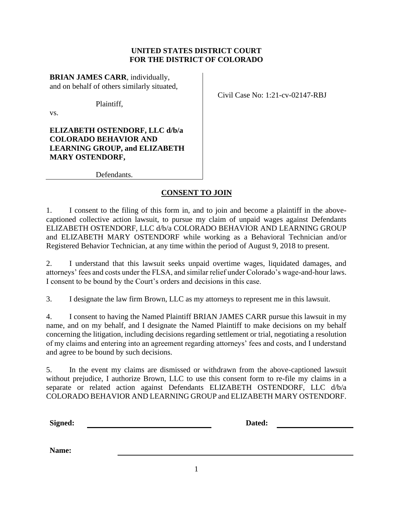# **UNITED STATES DISTRICT COURT FOR THE DISTRICT OF COLORADO**

**BRIAN JAMES CARR**, individually, and on behalf of others similarly situated,

Plaintiff,

vs.

**ELIZABETH OSTENDORF, LLC d/b/a COLORADO BEHAVIOR AND LEARNING GROUP, and ELIZABETH MARY OSTENDORF,**

Defendants.

# **CONSENT TO JOIN**

1. I consent to the filing of this form in, and to join and become a plaintiff in the abovecaptioned collective action lawsuit, to pursue my claim of unpaid wages against Defendants ELIZABETH OSTENDORF, LLC d/b/a COLORADO BEHAVIOR AND LEARNING GROUP and ELIZABETH MARY OSTENDORF while working as a Behavioral Technician and/or Registered Behavior Technician, at any time within the period of August 9, 2018 to present.

2. I understand that this lawsuit seeks unpaid overtime wages, liquidated damages, and attorneys' fees and costs under the FLSA, and similar relief under Colorado's wage-and-hour laws. I consent to be bound by the Court's orders and decisions in this case.

3. I designate the law firm Brown, LLC as my attorneys to represent me in this lawsuit.

4. I consent to having the Named Plaintiff BRIAN JAMES CARR pursue this lawsuit in my name, and on my behalf, and I designate the Named Plaintiff to make decisions on my behalf concerning the litigation, including decisions regarding settlement or trial, negotiating a resolution of my claims and entering into an agreement regarding attorneys' fees and costs, and I understand and agree to be bound by such decisions.

5. In the event my claims are dismissed or withdrawn from the above-captioned lawsuit without prejudice, I authorize Brown, LLC to use this consent form to re-file my claims in a separate or related action against Defendants ELIZABETH OSTENDORF, LLC d/b/a COLORADO BEHAVIOR AND LEARNING GROUP and ELIZABETH MARY OSTENDORF.

**Signed: Dated:**

|  | Civil Case No: 1:21-cv-02147-RBJ |  |
|--|----------------------------------|--|
|  |                                  |  |

**Name:**